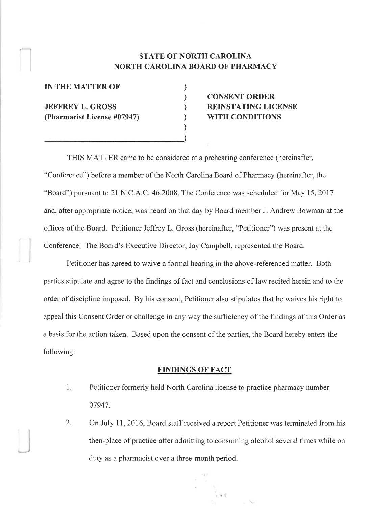## STATE OF NORTH CAROLINA NORTH CAROLINA BOARD OF PHARMACY

) ) ) ) ) )

IN THE MATTER OF JEFFREY L. GROSS (Pharmacist License #07947)

# CONSENT ORDER REINSTATING LICENSE WITH CONDITIONS

THIS MATTER came to be considered at a prehearing conference (hereinafter, "Confèrence") before a member of the North Carolina Board of Pharmacy (hereinafter, the "Board") pursuant to 21 N.C.A.C. 46.2008. The Conference was scheduled for May 15, 2017 and, after appropriate notice, was heard on that day by Board member J. Andrew Bowman at the offices of the Board. Petitioner Jeffrey L. Gross (hereinafter, "Petitioner") was present at the Conference. The Board's Executive Director, Jay Campbell, represented the Board.

Petitioner has agreed to waive a formal hearing in the above-referenced matter. Both parties stipulate and agree to the findings of fact and couclusions of law recited herein and to the order of discipline imposed. By his consent, Petitioner also stipulates that he waives his right to appeal this Consent Order or challenge in any way the sufficiency of the findings of this Order as a basis for the action taken. Based upon the consent of the parties, the Board hereby enters the following:

#### FINDINGS OF FACT

- 1. Petitioner formerly held North Carolina license to practice pharmacy number 07947.
- 2. On July 11, 2016, Board staff received a report Petitioner was terminated from his then-place of practice after adrnitting to consuming alcohol several times while on duty as a pharmacist over a three-month period.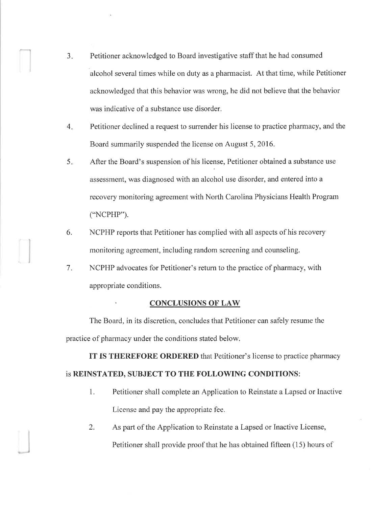- 3. Petitioner acknowledged to Board investigative staff that he had consumed alcohol several times while on duty as a pharmacist. At that time, while Petitioner acknowledged that this behavior was wrong, he did not believe that the behavior was indicative of a substance use disorder.
- Petitioner declined a request to surrender his license to practice pharmacy, and the Board summarily suspended the license on August 5,2016.  $4.$
- After the Board's suspension of his license, Petitioner obtained a substance use assessment, was diagnosed with an alcohol use disorder, and entered into a recovery monitoring agreement with North Carolina Physicians Health Program ("NCPHP"). 5.
- NCPHP reports that Petitioner has complied with all aspects of his recovery rnonitoring agreement, including random screening and counseling. 6.
- NCPHP advocates for Petitioner's return to the practice of pharmacy, with appropriate conditions. 7

#### . CONCLUSIONS OF LAW

The Board, in its discretion, concludes that Petitioner can safely resume the practice of pharmacy under the conditions stated below.

IT IS THEREFORE ORDERED that Petitioner's license to practice pharmacy

### is REINSTATED, SUBJECT TO THE FOLLOWING CONDITIONS:

- 1. Petitioner shall complete an Application to Reinstate a Lapsed or Inactive License and pay the appropriate fee.
- 2. As part of the Application to Reinstate a Lapsed or Inactive License, Petitioner shall provide proof that he has obtained fifteen (15) hours of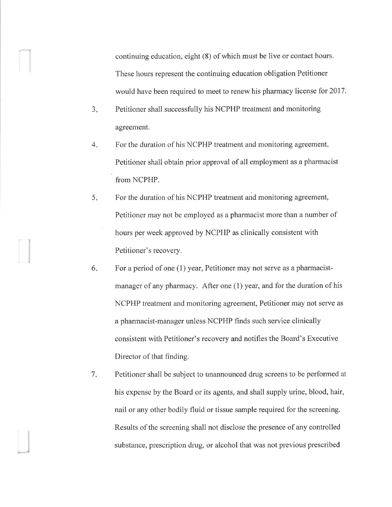continuing education, eight (8) of which must be live or contact hours. These hours represent the continuing education obligation Petitioner would have been required to meet to renew his pharmacy license for 2017.

- $3.$ Petitioner shall successfully his NCPHP treatment and monitoring agreement.
- $4.$ For the duration of his NCPHP treatment and monitoring agreement, Petitioner shall obtain prior approval of all employment as a pharmacist from NCPHP.
- $5.5$ For the duration of his NCPHP treatment and monitoring agreement, Petitioner may not be employed as a pharmacist more than a number of hours per week approved by NCPHP as clinically consistent with Petitioner's recovery.
- For a period of one (1) year, Petitioner may not serve as a pharmacistmanager of any pharmacy. After one (1) year, and for the duration of his NCPHP treatment and monitoring agreement, Petitioner may not serve as a pharmacist-manager unless NCPHP finds such service clinically consistent with Petitioner's recovery and notifies the Board's Executive Director of that finding.  $6.$
- Petitioner shall be subject to unannounced drug screens to be performed at his expense by the Board or its agents, and shall supply urine, blood, hair, nail or any other bodily fluid or tissue sample required for the screening. Results of the screening shall not disclose the presence of any controlled substance, prescription drug, or alcohol that was not previous prescribed  $7.1$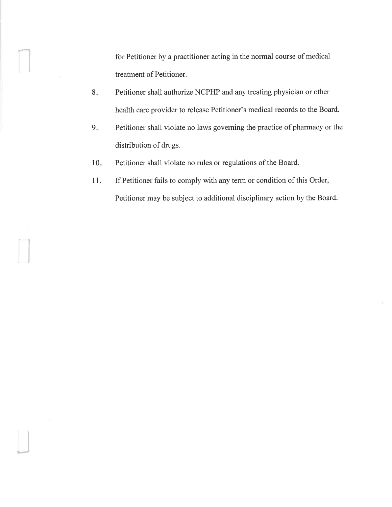for Petitioner by a practitioner acting in the normal course of medical treatment of Petitioner.

- 8 Petitioner shall authorize NCPHP and any treating physician or other health care provider to release Petitioner's medical records to the Board.
- $9.5$ Petitioner shall violate no laws governing the practice of pharmacy or the distribution of drugs.
- Petitioner shall violate no rules or regulations of the Board.  $10<sub>ii</sub>$

I

J

If Petitioner fails to comply with any term or condition of this Order, Petitioner may be subject to additional disciplinary action by the Board. 11.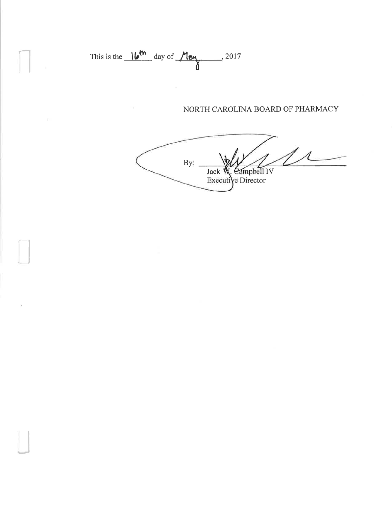This is the  $16^{th}$  day of  $M_{\text{e}4}$ , 2017

 $\lambda$ 

 $\leq_1$ 

 $\sim$ 

### NORTH CAROLINA BOARD OF PHARMACY

 $By:$ Jack W. Campbell IV<br>Executive Director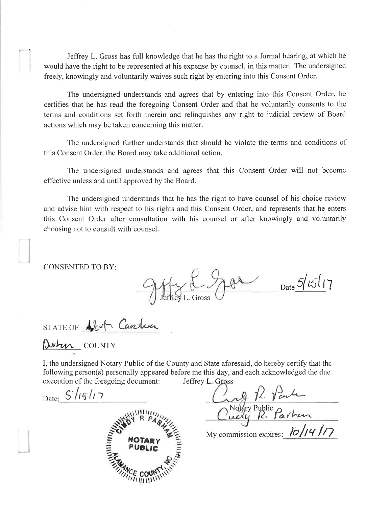Jeffrey L. Gross has full knowledge that he has the right to a formal hearing, at which he would have the right to be represented at his expense by counsel, in this matter. The undersigned freely, knowingly and voluntarily waives such right by entering into this Consent Order.

The undersigned understands and agrees that by entering into this Consent Order, he certifies that he has read the foregoing Consent Order and that he voluntarily consents to the terms and conditions set forth therein and relinquishes any right to judicial review of Board actions which may be taken concerning this matter.

The undersigned further understands that should he violate the terms and conditions of this Consent Order, the Board may take additional action.

The undersigned understands and agrees that this Consent Order will not become effective unless and until approved by the Board.

The undersigned understands that he has the right to have counsel of his choice review and advise him with respect to his rights and this Consent Order, and represents that he enters this Consent Order after consultation with his counsel or after knowingly and voluntarily choosing not to consult with counsel.

**CONSENTED TO BY:** 

 $70 - \frac{5}{15}17$ 

STATE OF North Caroline

Duhen COUNTY

I, the undersigned Notary Public of the County and State aforesaid, do hereby certify that the following person(s) personally appeared before me this day, and each acknowledged the due execution of the foregoing document: Jeffrey L. Gross

Date: 5/15/17



Ly 12 Vanle<br>Cridy Pyplic Parhen

My commission expires:  $10/14/7$